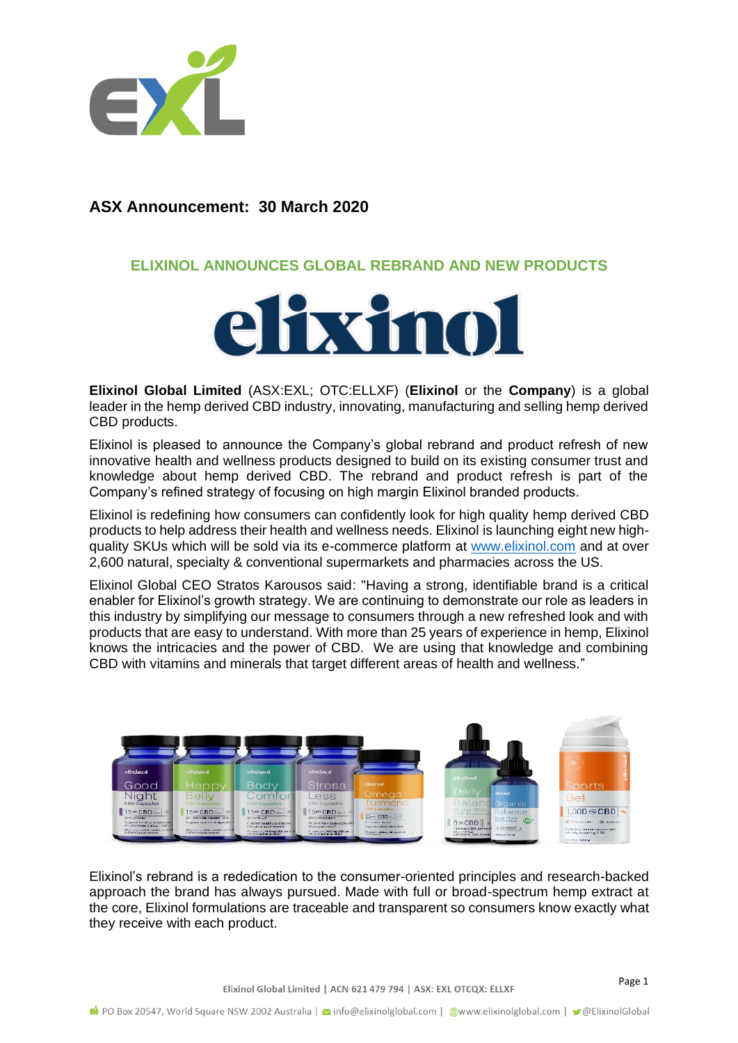

## **ASX Announcement: 30 March 2020**

## **ELIXINOL ANNOUNCES GLOBAL REBRAND AND NEW PRODUCTS**



**Elixinol Global Limited** (ASX:EXL; OTC:ELLXF) (**Elixinol** or the **Company**) is a global leader in the hemp derived CBD industry, innovating, manufacturing and selling hemp derived CBD products.

Elixinol is pleased to announce the Company's global rebrand and product refresh of new innovative health and wellness products designed to build on its existing consumer trust and knowledge about hemp derived CBD. The rebrand and product refresh is part of the Company's refined strategy of focusing on high margin Elixinol branded products.

Elixinol is redefining how consumers can confidently look for high quality hemp derived CBD products to help address their health and wellness needs. Elixinol is launching eight new highquality SKUs which will be sold via its e-commerce platform at [www.elixinol.com](http://www.elixinol.com/) and at over 2,600 natural, specialty & conventional supermarkets and pharmacies across the US.

Elixinol Global CEO Stratos Karousos said: "Having a strong, identifiable brand is a critical enabler for Elixinol's growth strategy. We are continuing to demonstrate our role as leaders in this industry by simplifying our message to consumers through a new refreshed look and with products that are easy to understand. With more than 25 years of experience in hemp, Elixinol knows the intricacies and the power of CBD. We are using that knowledge and combining CBD with vitamins and minerals that target different areas of health and wellness."



Elixinol's rebrand is a rededication to the consumer-oriented principles and research-backed approach the brand has always pursued. Made with full or broad-spectrum hemp extract at the core, Elixinol formulations are traceable and transparent so consumers know exactly what they receive with each product.

Elixinol Global Limited | ACN 621 479 794 | ASX: EXL OTCQX: ELLXF